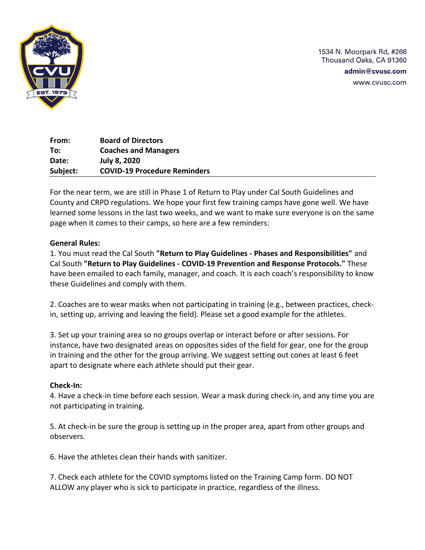

1534 N. Moorpark Rd, #266 Thousand Oaks, CA 91360

admin@cvusc.com

www.cvusc.com

**From: Board of Directors To: Coaches and Managers Date: July 8, 2020 Subject: COVID-19 Procedure Reminders**

For the near term, we are still in Phase 1 of Return to Play under Cal South Guidelines and County and CRPD regulations. We hope your first few training camps have gone well. We have learned some lessons in the last two weeks, and we want to make sure everyone is on the same page when it comes to their camps, so here are a few reminders:

## **General Rules:**

1. You must read the Cal South **"Return to Play Guidelines - Phases and Responsibilities"** and Cal South **"Return to Play Guidelines - COVID-19 Prevention and Response Protocols."** These have been emailed to each family, manager, and coach. It is each coach's responsibility to know these Guidelines and comply with them.

2. Coaches are to wear masks when not participating in training (e.g., between practices, checkin, setting up, arriving and leaving the field). Please set a good example for the athletes.

3. Set up your training area so no groups overlap or interact before or after sessions. For instance, have two designated areas on opposites sides of the field for gear, one for the group in training and the other for the group arriving. We suggest setting out cones at least 6 feet apart to designate where each athlete should put their gear.

## **Check-In:**

4. Have a check-in time before each session. Wear a mask during check-in, and any time you are not participating in training.

5. At check-in be sure the group is setting up in the proper area, apart from other groups and observers.

6. Have the athletes clean their hands with sanitizer.

7. Check each athlete for the COVID symptoms listed on the Training Camp form. DO NOT ALLOW any player who is sick to participate in practice, regardless of the illness.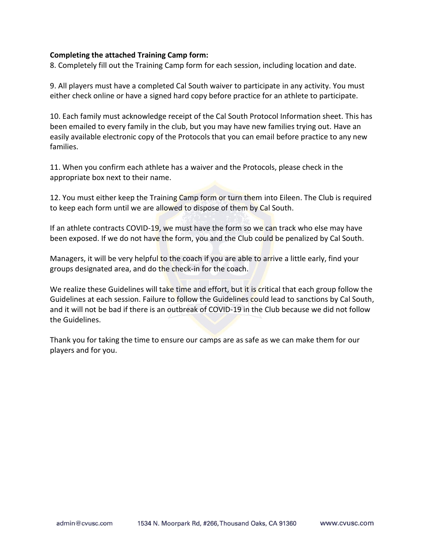#### **Completing the attached Training Camp form:**

8. Completely fill out the Training Camp form for each session, including location and date.

9. All players must have a completed Cal South waiver to participate in any activity. You must either check online or have a signed hard copy before practice for an athlete to participate.

10. Each family must acknowledge receipt of the Cal South Protocol Information sheet. This has been emailed to every family in the club, but you may have new families trying out. Have an easily available electronic copy of the Protocols that you can email before practice to any new families.

11. When you confirm each athlete has a waiver and the Protocols, please check in the appropriate box next to their name.

12. You must either keep the Training Camp form or turn them into Eileen. The Club is required to keep each form until we are allowed to dispose of them by Cal South.

If an athlete contracts COVID-19, we must have the form so we can track who else may have been exposed. If we do not have the form, you and the Club could be penalized by Cal South.

Managers, it will be very helpful to the coach if you are able to arrive a little early, find your groups designated area, and do the check-in for the coach.

We realize these Guidelines will take time and effort, but it is critical that each group follow the Guidelines at each session. Failure to follow the Guidelines could lead to sanctions by Cal South, and it will not be bad if there is an outbreak of COVID-19 in the Club because we did not follow the Guidelines.

Thank you for taking the time to ensure our camps are as safe as we can make them for our players and for you.